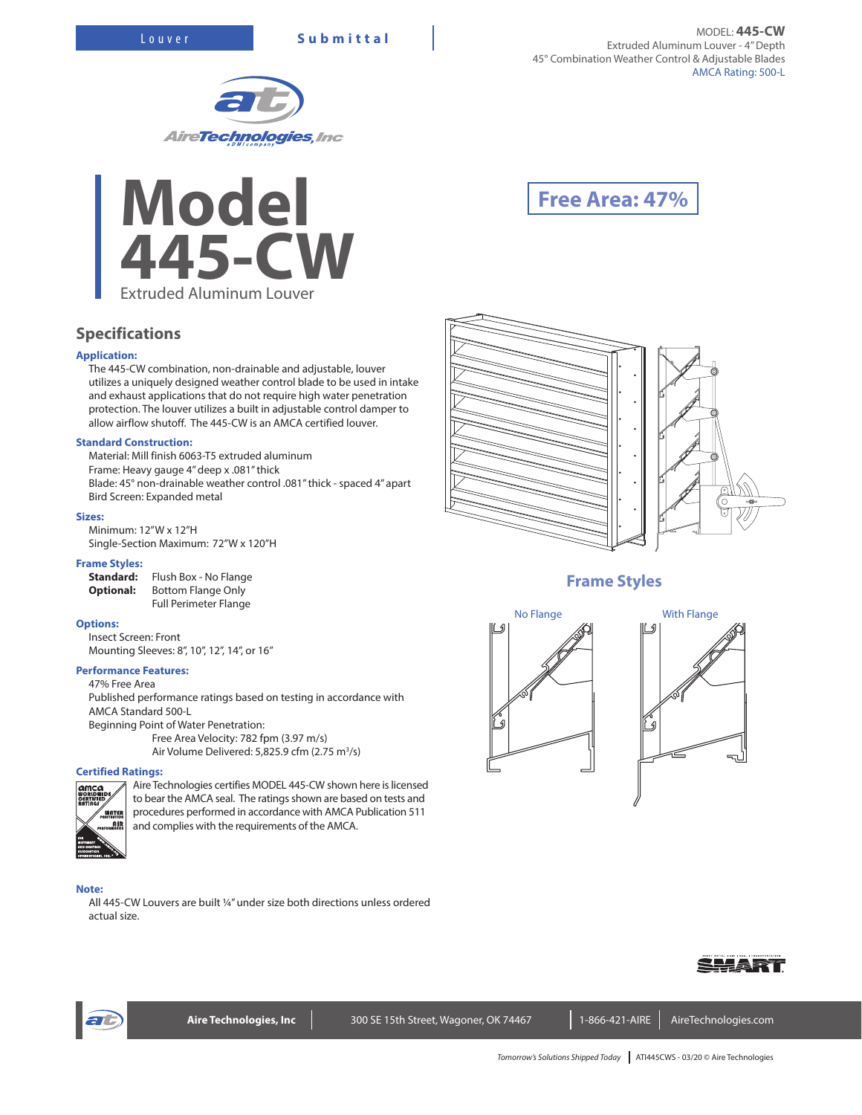**Specifications**

**Standard Construction:**

Bird Screen: Expanded metal

Minimum: 12"W x 12"H

Insect Screen: Front

**Performance Features:** 47% Free Area

AMCA Standard 500-L

**Certified Ratings:**

**Application:**

**Sizes:**

**Frame Styles:**

**Options:**





The 445-CW combination, non-drainable and adjustable, louver utilizes a uniquely designed weather control blade to be used in intake and exhaust applications that do not require high water penetration protection. The louver utilizes a built in adjustable control damper to allow airflow shutoff. The 445-CW is an AMCA certified louver.

Blade: 45° non-drainable weather control .081" thick - spaced 4" apart

Published performance ratings based on testing in accordance with

Free Area Velocity: 782 fpm (3.97 m/s) Air Volume Delivered: 5,825.9 cfm (2.75 m<sup>3</sup>/s)

Material: Mill finish 6063-T5 extruded aluminum Frame: Heavy gauge 4" deep x .081" thick

Full Perimeter Flange

Single-Section Maximum: 72"W x 120"H

Mounting Sleeves: 8", 10", 12", 14", or 16"

Beginning Point of Water Penetration:

**Standard:** Flush Box - No Flange **Optional:** Bottom Flange Only

# **Free Area: 47%**



# **Frame Styles**







Aire Technologies certifies MODEL 445-CW shown here is licensed to bear the AMCA seal. The ratings shown are based on tests and procedures performed in accordance with AMCA Publication 511 WATER <u>oin</u> and complies with the requirements of the AMCA.

#### **Note:**

All 445-CW Louvers are built ¼" under size both directions unless ordered actual size.